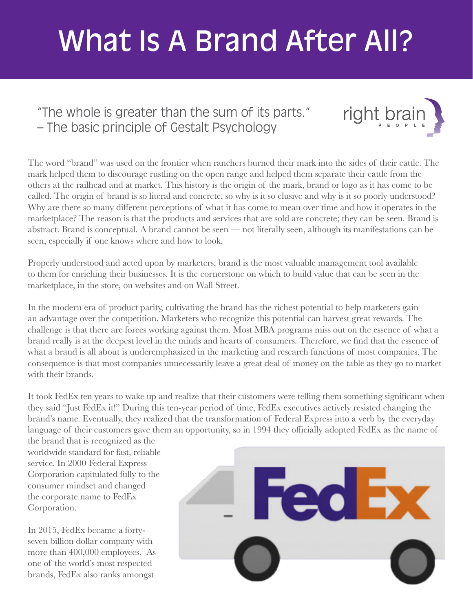# What Is A Brand After All?

#### "The whole is greater than the sum of its parts." – The basic principle of Gestalt Psychology



The word "brand" was used on the frontier when ranchers burned their mark into the sides of their cattle. The mark helped them to discourage rustling on the open range and helped them separate their cattle from the others at the railhead and at market. This history is the origin of the mark, brand or logo as it has come to be called. The origin of brand is so literal and concrete, so why is it so elusive and why is it so poorly understood? Why are there so many different perceptions of what it has come to mean over time and how it operates in the marketplace? The reason is that the products and services that are sold are concrete; they can be seen. Brand is abstract. Brand is conceptual. A brand cannot be seen — not literally seen, although its manifestations can be seen, especially if one knows where and how to look.

Properly understood and acted upon by marketers, brand is the most valuable management tool available to them for enriching their businesses. It is the cornerstone on which to build value that can be seen in the marketplace, in the store, on websites and on Wall Street.

In the modern era of product parity, cultivating the brand has the richest potential to help marketers gain an advantage over the competition. Marketers who recognize this potential can harvest great rewards. The challenge is that there are forces working against them. Most MBA programs miss out on the essence of what a brand really is at the deepest level in the minds and hearts of consumers. Therefore, we find that the essence of what a brand is all about is underemphasized in the marketing and research functions of most companies. The consequence is that most companies unnecessarily leave a great deal of money on the table as they go to market with their brands.

It took FedEx ten years to wake up and realize that their customers were telling them something significant when they said "Just FedEx it!" During this ten-year period of time, FedEx executives actively resisted changing the brand's name. Eventually, they realized that the transformation of Federal Express into a verb by the everyday language of their customers gave them an opportunity, so in 1994 they officially adopted FedEx as the name of

the brand that is recognized as the worldwide standard for fast, reliable service. In 2000 Federal Express Corporation capitulated fully to the consumer mindset and changed the corporate name to FedEx Corporation.

In 2015, FedEx became a fortyseven billion dollar company with more than 400,000 employees.<sup>1</sup> As one of the world's most respected brands, FedEx also ranks amongst

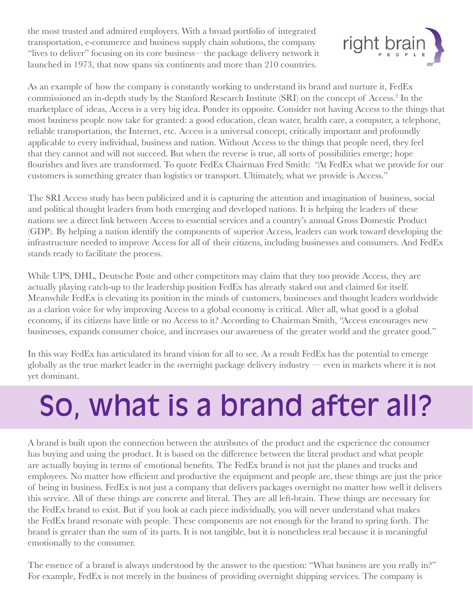the most trusted and admired employers. With a broad portfolio of integrated transportation, e-commerce and business supply chain solutions, the company "lives to deliver" focusing on its core business—the package delivery network it launched in 1973, that now spans six continents and more than 210 countries.



As an example of how the company is constantly working to understand its brand and nurture it, FedEx commissioned an in-depth study by the Stanford Research Institute (SRI) on the concept of Access.<sup>2</sup> In the marketplace of ideas, Access is a very big idea. Ponder its opposite. Consider not having Access to the things that most business people now take for granted: a good education, clean water, health care, a computer, a telephone, reliable transportation, the Internet, etc. Access is a universal concept, critically important and profoundly applicable to every individual, business and nation. Without Access to the things that people need, they feel that they cannot and will not succeed. But when the reverse is true, all sorts of possibilities emerge; hope flourishes and lives are transformed. To quote FedEx Chairman Fred Smith: "At FedEx what we provide for our customers is something greater than logistics or transport. Ultimately, what we provide is Access."

The SRI Access study has been publicized and it is capturing the attention and imagination of business, social and political thought leaders from both emerging and developed nations. It is helping the leaders of these nations see a direct link between Access to essential services and a country's annual Gross Domestic Product (GDP). By helping a nation identify the components of superior Access, leaders can work toward developing the infrastructure needed to improve Access for all of their citizens, including businesses and consumers. And FedEx stands ready to facilitate the process.

While UPS, DHL, Deutsche Poste and other competitors may claim that they too provide Access, they are actually playing catch-up to the leadership position FedEx has already staked out and claimed for itself. Meanwhile FedEx is elevating its position in the minds of customers, businesses and thought leaders worldwide as a clarion voice for why improving Access to a global economy is critical. After all, what good is a global economy, if its citizens have little or no Access to it? According to Chairman Smith, "Access encourages new businesses, expands consumer choice, and increases our awareness of the greater world and the greater good."

In this way FedEx has articulated its brand vision for all to see. As a result FedEx has the potential to emerge globally as the true market leader in the overnight package delivery industry — even in markets where it is not yet dominant.

# So, what is a brand after all?

A brand is built upon the connection between the attributes of the product and the experience the consumer has buying and using the product. It is based on the difference between the literal product and what people are actually buying in terms of emotional benefits. The FedEx brand is not just the planes and trucks and employees. No matter how efficient and productive the equipment and people are, these things are just the price of being in business. FedEx is not just a company that delivers packages overnight no matter how well it delivers this service. All of these things are concrete and literal. They are all left-brain. These things are necessary for the FedEx brand to exist. But if you look at each piece individually, you will never understand what makes the FedEx brand resonate with people. These components are not enough for the brand to spring forth. The brand is greater than the sum of its parts. It is not tangible, but it is nonetheless real because it is meaningful emotionally to the consumer.

The essence of a brand is always understood by the answer to the question: "What business are you really in?" For example, FedEx is not merely in the business of providing overnight shipping services. The company is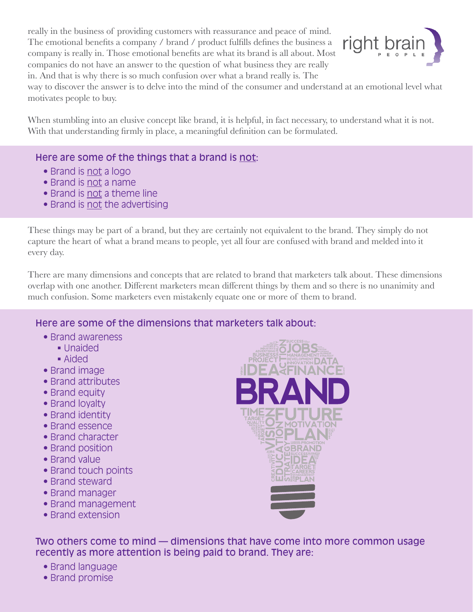really in the business of providing customers with reassurance and peace of mind. The emotional benefits a company / brand / product fulfills defines the business a company is really in. Those emotional benefits are what its brand is all about. Most companies do not have an answer to the question of what business they are really in. And that is why there is so much confusion over what a brand really is. The



way to discover the answer is to delve into the mind of the consumer and understand at an emotional level what motivates people to buy.

When stumbling into an elusive concept like brand, it is helpful, in fact necessary, to understand what it is not. With that understanding firmly in place, a meaningful definition can be formulated.

#### Here are some of the things that a brand is not:

- Brand is not a logo
- Brand is not a name
- Brand is not a theme line
- Brand is not the advertising

These things may be part of a brand, but they are certainly not equivalent to the brand. They simply do not capture the heart of what a brand means to people, yet all four are confused with brand and melded into it every day.

There are many dimensions and concepts that are related to brand that marketers talk about. These dimensions overlap with one another. Different marketers mean different things by them and so there is no unanimity and much confusion. Some marketers even mistakenly equate one or more of them to brand.

#### Here are some of the dimensions that marketers talk about:

- Brand awareness
	- Unaided
	- § Aided
- Brand image
- Brand attributes
- Brand equity
- Brand loyalty
- Brand identity
- Brand essence
- Brand character
- Brand position
- Brand value
- Brand touch points
- Brand steward
- Brand manager
- Brand management
- Brand extension

Two others come to mind — dimensions that have come into more common usage recently as more attention is being paid to brand. They are:

- Brand language
- Brand promise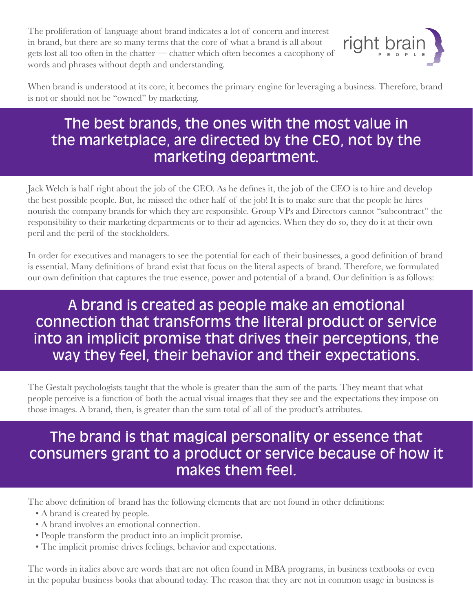The proliferation of language about brand indicates a lot of concern and interest in brand, but there are so many terms that the core of what a brand is all about gets lost all too often in the chatter — chatter which often becomes a cacophony of words and phrases without depth and understanding.



When brand is understood at its core, it becomes the primary engine for leveraging a business. Therefore, brand is not or should not be "owned" by marketing.

### The best brands, the ones with the most value in the marketplace, are directed by the CEO, not by the marketing department.

Jack Welch is half right about the job of the CEO. As he defines it, the job of the CEO is to hire and develop the best possible people. But, he missed the other half of the job! It is to make sure that the people he hires nourish the company brands for which they are responsible. Group VPs and Directors cannot "subcontract" the responsibility to their marketing departments or to their ad agencies. When they do so, they do it at their own peril and the peril of the stockholders.

In order for executives and managers to see the potential for each of their businesses, a good definition of brand is essential. Many definitions of brand exist that focus on the literal aspects of brand. Therefore, we formulated our own definition that captures the true essence, power and potential of a brand. Our definition is as follows:

### A brand is created as people make an emotional connection that transforms the literal product or service into an implicit promise that drives their perceptions, the way they feel, their behavior and their expectations.

The Gestalt psychologists taught that the whole is greater than the sum of the parts. They meant that what people perceive is a function of both the actual visual images that they see and the expectations they impose on those images. A brand, then, is greater than the sum total of all of the product's attributes.

#### The brand is that magical personality or essence that consumers grant to a product or service because of how it makes them feel.

The above definition of brand has the following elements that are not found in other definitions:

- A brand is created by people.
- A brand involves an emotional connection.
- People transform the product into an implicit promise.
- The implicit promise drives feelings, behavior and expectations.

The words in italics above are words that are not often found in MBA programs, in business textbooks or even in the popular business books that abound today. The reason that they are not in common usage in business is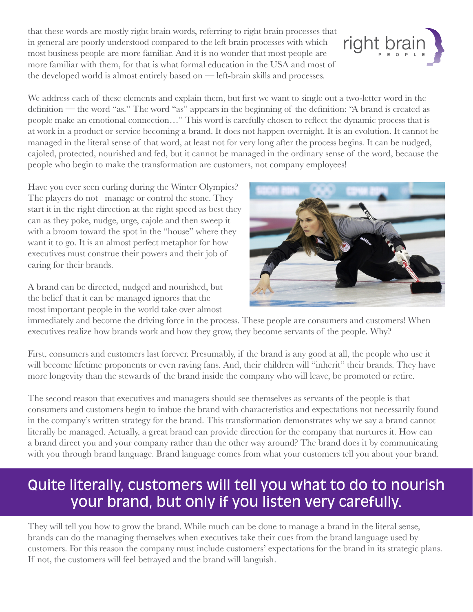that these words are mostly right brain words, referring to right brain processes that in general are poorly understood compared to the left brain processes with which most business people are more familiar. And it is no wonder that most people are more familiar with them, for that is what formal education in the USA and most of the developed world is almost entirely based on — left-brain skills and processes.

We address each of these elements and explain them, but first we want to single out a two-letter word in the definition — the word "as." The word "as" appears in the beginning of the definition: "A brand is created as people make an emotional connection…" This word is carefully chosen to reflect the dynamic process that is at work in a product or service becoming a brand. It does not happen overnight. It is an evolution. It cannot be managed in the literal sense of that word, at least not for very long after the process begins. It can be nudged, cajoled, protected, nourished and fed, but it cannot be managed in the ordinary sense of the word, because the people who begin to make the transformation are customers, not company employees!

Have you ever seen curling during the Winter Olympics? The players do not manage or control the stone. They start it in the right direction at the right speed as best they can as they poke, nudge, urge, cajole and then sweep it with a broom toward the spot in the "house" where they want it to go. It is an almost perfect metaphor for how executives must construe their powers and their job of caring for their brands.

A brand can be directed, nudged and nourished, but the belief that it can be managed ignores that the most important people in the world take over almost

immediately and become the driving force in the process. These people are consumers and customers! When executives realize how brands work and how they grow, they become servants of the people. Why?

First, consumers and customers last forever. Presumably, if the brand is any good at all, the people who use it will become lifetime proponents or even raving fans. And, their children will "inherit" their brands. They have more longevity than the stewards of the brand inside the company who will leave, be promoted or retire.

The second reason that executives and managers should see themselves as servants of the people is that consumers and customers begin to imbue the brand with characteristics and expectations not necessarily found in the company's written strategy for the brand. This transformation demonstrates why we say a brand cannot literally be managed. Actually, a great brand can provide direction for the company that nurtures it. How can a brand direct you and your company rather than the other way around? The brand does it by communicating with you through brand language. Brand language comes from what your customers tell you about your brand.

### Quite literally, customers will tell you what to do to nourish your brand, but only if you listen very carefully.

They will tell you how to grow the brand. While much can be done to manage a brand in the literal sense, brands can do the managing themselves when executives take their cues from the brand language used by customers. For this reason the company must include customers' expectations for the brand in its strategic plans. If not, the customers will feel betrayed and the brand will languish.



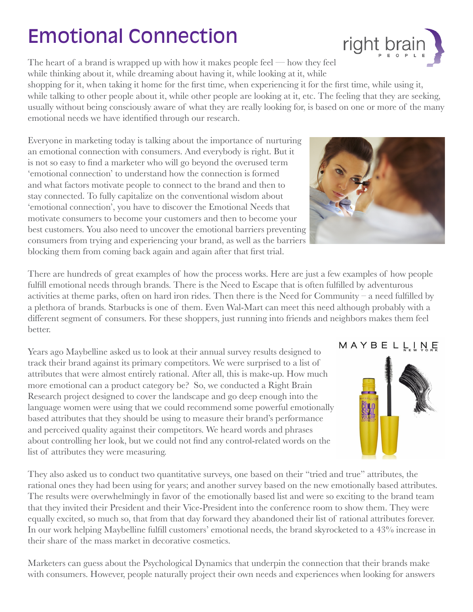## Emotional Connection

The heart of a brand is wrapped up with how it makes people feel — how they feel while thinking about it, while dreaming about having it, while looking at it, while

shopping for it, when taking it home for the first time, when experiencing it for the first time, while using it, while talking to other people about it, while other people are looking at it, etc. The feeling that they are seeking, usually without being consciously aware of what they are really looking for, is based on one or more of the many emotional needs we have identified through our research.

Everyone in marketing today is talking about the importance of nurturing an emotional connection with consumers. And everybody is right. But it is not so easy to find a marketer who will go beyond the overused term 'emotional connection' to understand how the connection is formed and what factors motivate people to connect to the brand and then to stay connected. To fully capitalize on the conventional wisdom about 'emotional connection', you have to discover the Emotional Needs that motivate consumers to become your customers and then to become your best customers. You also need to uncover the emotional barriers preventing consumers from trying and experiencing your brand, as well as the barriers blocking them from coming back again and again after that first trial.

There are hundreds of great examples of how the process works. Here are just a few examples of how people fulfill emotional needs through brands. There is the Need to Escape that is often fulfilled by adventurous activities at theme parks, often on hard iron rides. Then there is the Need for Community – a need fulfilled by a plethora of brands. Starbucks is one of them. Even Wal-Mart can meet this need although probably with a different segment of consumers. For these shoppers, just running into friends and neighbors makes them feel better.

Years ago Maybelline asked us to look at their annual survey results designed to track their brand against its primary competitors. We were surprised to a list of attributes that were almost entirely rational. After all, this is make-up. How much more emotional can a product category be? So, we conducted a Right Brain Research project designed to cover the landscape and go deep enough into the language women were using that we could recommend some powerful emotionally based attributes that they should be using to measure their brand's performance and perceived quality against their competitors. We heard words and phrases about controlling her look, but we could not find any control-related words on the list of attributes they were measuring.

They also asked us to conduct two quantitative surveys, one based on their "tried and true" attributes, the rational ones they had been using for years; and another survey based on the new emotionally based attributes. The results were overwhelmingly in favor of the emotionally based list and were so exciting to the brand team that they invited their President and their Vice-President into the conference room to show them. They were equally excited, so much so, that from that day forward they abandoned their list of rational attributes forever. In our work helping Maybelline fulfill customers' emotional needs, the brand skyrocketed to a 43% increase in their share of the mass market in decorative cosmetics.

Marketers can guess about the Psychological Dynamics that underpin the connection that their brands make with consumers. However, people naturally project their own needs and experiences when looking for answers

#### MAYBELLINE





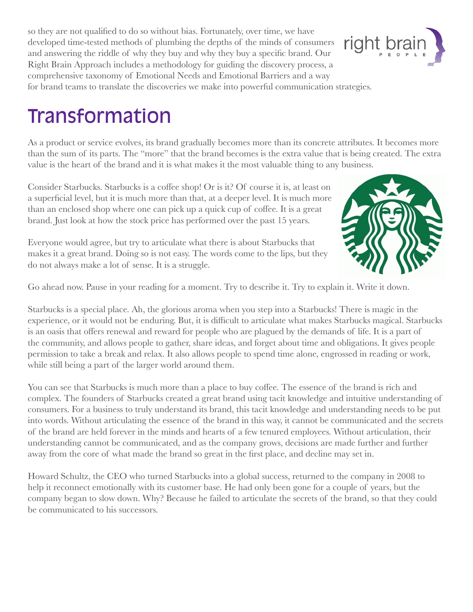so they are not qualified to do so without bias. Fortunately, over time, we have right bra developed time-tested methods of plumbing the depths of the minds of consumers and answering the riddle of why they buy and why they buy a specific brand. Our Right Brain Approach includes a methodology for guiding the discovery process, a comprehensive taxonomy of Emotional Needs and Emotional Barriers and a way for brand teams to translate the discoveries we make into powerful communication strategies.



As a product or service evolves, its brand gradually becomes more than its concrete attributes. It becomes more than the sum of its parts. The "more" that the brand becomes is the extra value that is being created. The extra value is the heart of the brand and it is what makes it the most valuable thing to any business.

Consider Starbucks. Starbucks is a coffee shop! Or is it? Of course it is, at least on a superficial level, but it is much more than that, at a deeper level. It is much more than an enclosed shop where one can pick up a quick cup of coffee. It is a great brand. Just look at how the stock price has performed over the past 15 years.

Everyone would agree, but try to articulate what there is about Starbucks that makes it a great brand. Doing so is not easy. The words come to the lips, but they do not always make a lot of sense. It is a struggle.



Go ahead now. Pause in your reading for a moment. Try to describe it. Try to explain it. Write it down.

Starbucks is a special place. Ah, the glorious aroma when you step into a Starbucks! There is magic in the experience, or it would not be enduring. But, it is difficult to articulate what makes Starbucks magical. Starbucks is an oasis that offers renewal and reward for people who are plagued by the demands of life. It is a part of the community, and allows people to gather, share ideas, and forget about time and obligations. It gives people permission to take a break and relax. It also allows people to spend time alone, engrossed in reading or work, while still being a part of the larger world around them.

You can see that Starbucks is much more than a place to buy coffee. The essence of the brand is rich and complex. The founders of Starbucks created a great brand using tacit knowledge and intuitive understanding of consumers. For a business to truly understand its brand, this tacit knowledge and understanding needs to be put into words. Without articulating the essence of the brand in this way, it cannot be communicated and the secrets of the brand are held forever in the minds and hearts of a few tenured employees. Without articulation, their understanding cannot be communicated, and as the company grows, decisions are made further and further away from the core of what made the brand so great in the first place, and decline may set in.

Howard Schultz, the CEO who turned Starbucks into a global success, returned to the company in 2008 to help it reconnect emotionally with its customer base. He had only been gone for a couple of years, but the company began to slow down. Why? Because he failed to articulate the secrets of the brand, so that they could be communicated to his successors.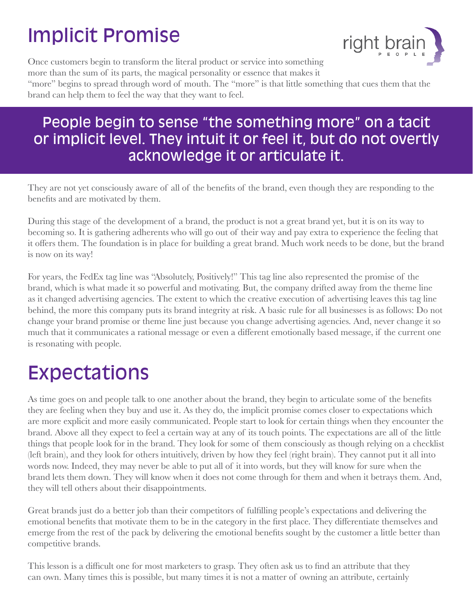## Implicit Promise



Once customers begin to transform the literal product or service into something more than the sum of its parts, the magical personality or essence that makes it

"more" begins to spread through word of mouth. The "more" is that little something that cues them that the brand can help them to feel the way that they want to feel.

### People begin to sense "the something more" on a tacit or implicit level. They intuit it or feel it, but do not overtly acknowledge it or articulate it.

They are not yet consciously aware of all of the benefits of the brand, even though they are responding to the benefits and are motivated by them.

During this stage of the development of a brand, the product is not a great brand yet, but it is on its way to becoming so. It is gathering adherents who will go out of their way and pay extra to experience the feeling that it offers them. The foundation is in place for building a great brand. Much work needs to be done, but the brand is now on its way!

For years, the FedEx tag line was "Absolutely, Positively!" This tag line also represented the promise of the brand, which is what made it so powerful and motivating. But, the company drifted away from the theme line as it changed advertising agencies. The extent to which the creative execution of advertising leaves this tag line behind, the more this company puts its brand integrity at risk. A basic rule for all businesses is as follows: Do not change your brand promise or theme line just because you change advertising agencies. And, never change it so much that it communicates a rational message or even a different emotionally based message, if the current one is resonating with people.

## Expectations

As time goes on and people talk to one another about the brand, they begin to articulate some of the benefits they are feeling when they buy and use it. As they do, the implicit promise comes closer to expectations which are more explicit and more easily communicated. People start to look for certain things when they encounter the brand. Above all they expect to feel a certain way at any of its touch points. The expectations are all of the little things that people look for in the brand. They look for some of them consciously as though relying on a checklist (left brain), and they look for others intuitively, driven by how they feel (right brain). They cannot put it all into words now. Indeed, they may never be able to put all of it into words, but they will know for sure when the brand lets them down. They will know when it does not come through for them and when it betrays them. And, they will tell others about their disappointments.

Great brands just do a better job than their competitors of fulfilling people's expectations and delivering the emotional benefits that motivate them to be in the category in the first place. They differentiate themselves and emerge from the rest of the pack by delivering the emotional benefits sought by the customer a little better than competitive brands.

This lesson is a difficult one for most marketers to grasp. They often ask us to find an attribute that they can own. Many times this is possible, but many times it is not a matter of owning an attribute, certainly